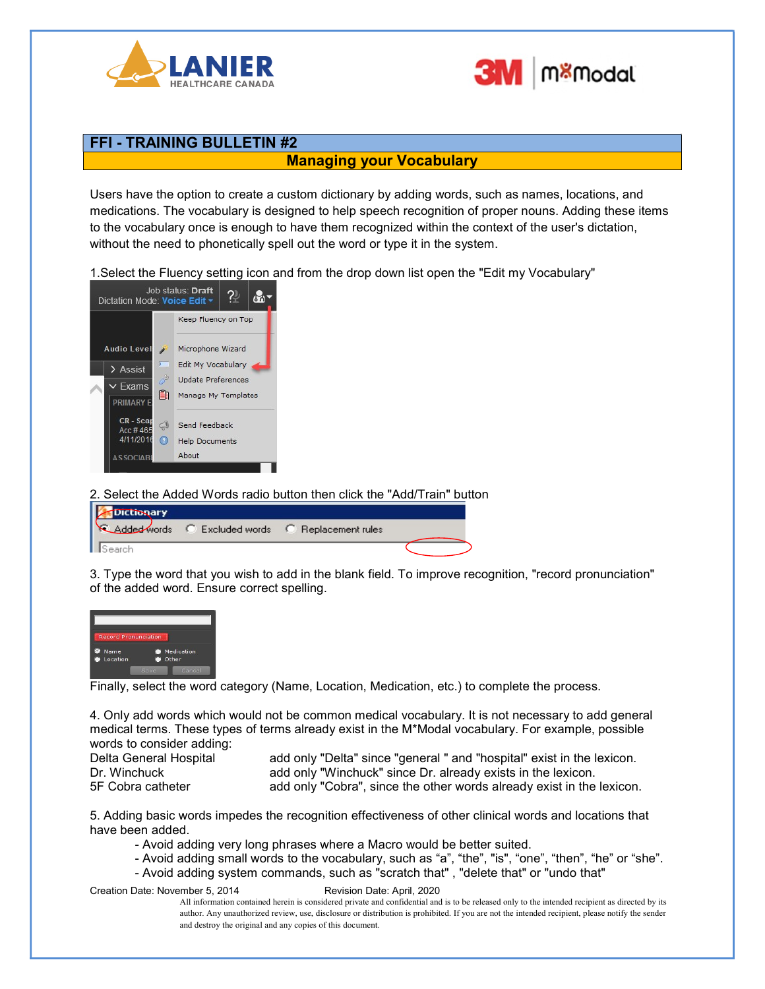



## FFI - TRAINING BULLETIN #2

## Managing your Vocabulary

Users have the option to create a custom dictionary by adding words, such as names, locations, and medications. The vocabulary is designed to help speech recognition of proper nouns. Adding these items to the vocabulary once is enough to have them recognized within the context of the user's dictation, without the need to phonetically spell out the word or type it in the system.

1.Select the Fluency setting icon and from the drop down list open the "Edit my Vocabulary"



2. Select the Added Words radio button then click the "Add/Train" button



3. Type the word that you wish to add in the blank field. To improve recognition, "record pronunciation" of the added word. Ensure correct spelling.



Finally, select the word category (Name, Location, Medication, etc.) to complete the process.

4. Only add words which would not be common medical vocabulary. It is not necessary to add general medical terms. These types of terms already exist in the M\*Modal vocabulary. For example, possible words to consider adding:

Delta General Hospital and and only "Delta" since "general " and "hospital" exist in the lexicon. Dr. Winchuck add only "Winchuck" since Dr. already exists in the lexicon. 5F Cobra catheter and only "Cobra", since the other words already exist in the lexicon.

5. Adding basic words impedes the recognition effectiveness of other clinical words and locations that have been added.

- Avoid adding very long phrases where a Macro would be better suited.
- Avoid adding small words to the vocabulary, such as "a", "the", "is", "one", "then", "he" or "she".
- Avoid adding system commands, such as "scratch that" , "delete that" or "undo that"

Creation Date: November 5, 2014 Revision Date: April, 2020

All information contained herein is considered private and confidential and is to be released only to the intended recipient as directed by its author. Any unauthorized review, use, disclosure or distribution is prohibited. If you are not the intended recipient, please notify the sender and destroy the original and any copies of this document.